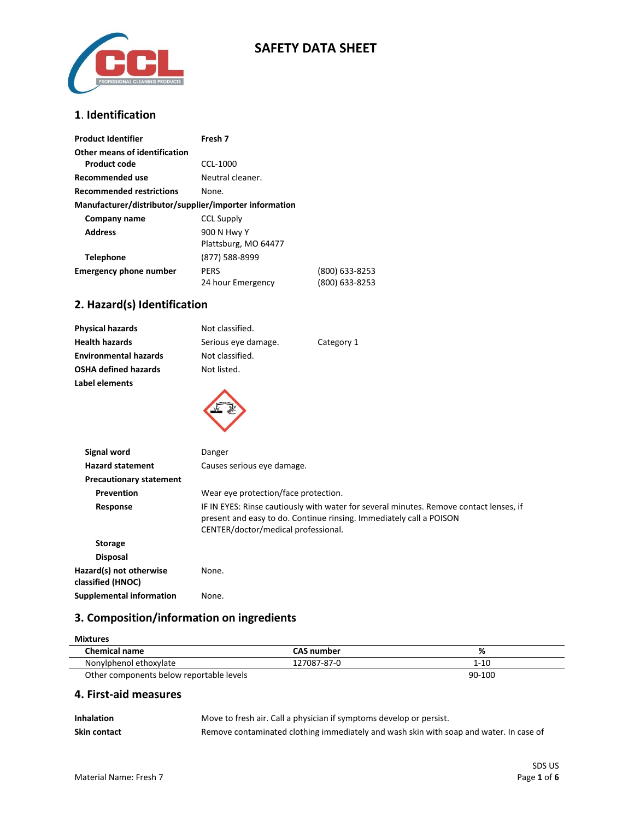

## **SAFETY DATA SHEET**

### **1**. **Identification**

| <b>Product Identifier</b>                              | Fresh 7              |                |
|--------------------------------------------------------|----------------------|----------------|
| Other means of identification                          |                      |                |
| Product code                                           | CCL-1000             |                |
| Recommended use                                        | Neutral cleaner.     |                |
| <b>Recommended restrictions</b>                        | None.                |                |
| Manufacturer/distributor/supplier/importer information |                      |                |
| Company name                                           | <b>CCL Supply</b>    |                |
| <b>Address</b>                                         | 900 N Hwy Y          |                |
|                                                        | Plattsburg, MO 64477 |                |
| <b>Telephone</b>                                       | (877) 588-8999       |                |
| <b>Emergency phone number</b>                          | <b>PERS</b>          | (800) 633-8253 |
|                                                        | 24 hour Emergency    | (800) 633-8253 |

### **2. Hazard(s) Identification**

| <b>Physical hazards</b>      | Not classified.     |            |  |
|------------------------------|---------------------|------------|--|
| <b>Health hazards</b>        | Serious eye damage. | Category 1 |  |
| <b>Environmental hazards</b> | Not classified.     |            |  |
| OSHA defined hazards         | Not listed.         |            |  |
| Label elements               |                     |            |  |
|                              |                     |            |  |

| Signal word                                  | Danger                                                                                                                                                                                               |
|----------------------------------------------|------------------------------------------------------------------------------------------------------------------------------------------------------------------------------------------------------|
| <b>Hazard statement</b>                      | Causes serious eye damage.                                                                                                                                                                           |
| <b>Precautionary statement</b>               |                                                                                                                                                                                                      |
| Prevention                                   | Wear eye protection/face protection.                                                                                                                                                                 |
| Response                                     | IF IN EYES: Rinse cautiously with water for several minutes. Remove contact lenses, if<br>present and easy to do. Continue rinsing. Immediately call a POISON<br>CENTER/doctor/medical professional. |
| <b>Storage</b>                               |                                                                                                                                                                                                      |
| <b>Disposal</b>                              |                                                                                                                                                                                                      |
| Hazard(s) not otherwise<br>classified (HNOC) | None.                                                                                                                                                                                                |
| Supplemental information                     | None.                                                                                                                                                                                                |
|                                              |                                                                                                                                                                                                      |

## **3. Composition/information on ingredients**

| <b>Mixtures</b>                          |                   |          |
|------------------------------------------|-------------------|----------|
| <b>Chemical name</b>                     | <b>CAS number</b> | %        |
| Nonylphenol ethoxylate                   | 127087-87-0       | $1 - 10$ |
| Other components below reportable levels |                   | 90-100   |

#### **4. First-aid measures**

| <b>Inhalation</b> | Move to fresh air. Call a physician if symptoms develop or persist.                    |
|-------------------|----------------------------------------------------------------------------------------|
| Skin contact      | Remove contaminated clothing immediately and wash skin with soap and water. In case of |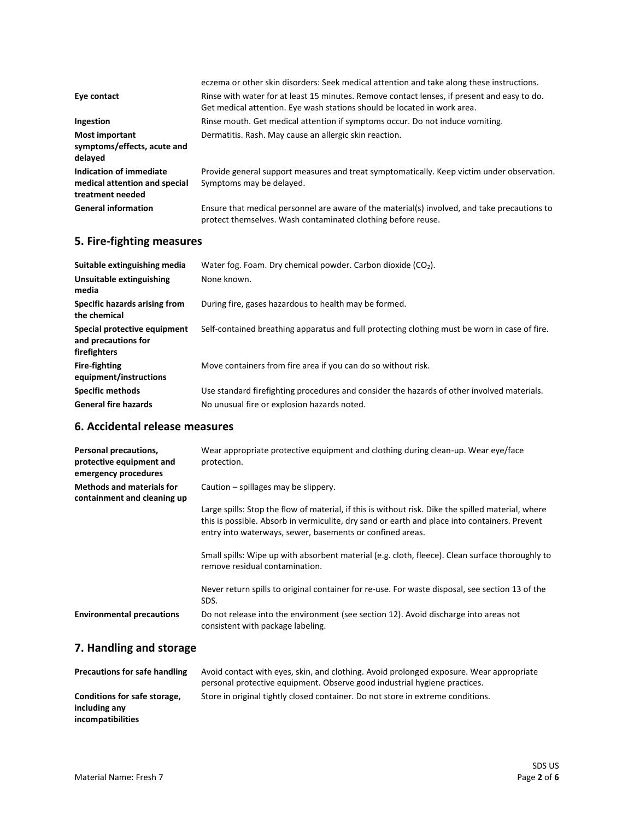| Eye contact                                                                  | eczema or other skin disorders: Seek medical attention and take along these instructions.<br>Rinse with water for at least 15 minutes. Remove contact lenses, if present and easy to do. |
|------------------------------------------------------------------------------|------------------------------------------------------------------------------------------------------------------------------------------------------------------------------------------|
|                                                                              | Get medical attention. Eye wash stations should be located in work area.                                                                                                                 |
| Ingestion                                                                    | Rinse mouth. Get medical attention if symptoms occur. Do not induce vomiting.                                                                                                            |
| <b>Most important</b><br>symptoms/effects, acute and<br>delayed              | Dermatitis. Rash. May cause an allergic skin reaction.                                                                                                                                   |
| Indication of immediate<br>medical attention and special<br>treatment needed | Provide general support measures and treat symptomatically. Keep victim under observation.<br>Symptoms may be delayed.                                                                   |
| <b>General information</b>                                                   | Ensure that medical personnel are aware of the material(s) involved, and take precautions to<br>protect themselves. Wash contaminated clothing before reuse.                             |

# **5. Fire-fighting measures**

| Suitable extinguishing media                                        | Water fog. Foam. Dry chemical powder. Carbon dioxide $(CO2)$ .                                |
|---------------------------------------------------------------------|-----------------------------------------------------------------------------------------------|
| Unsuitable extinguishing<br>media                                   | None known.                                                                                   |
| Specific hazards arising from<br>the chemical                       | During fire, gases hazardous to health may be formed.                                         |
| Special protective equipment<br>and precautions for<br>firefighters | Self-contained breathing apparatus and full protecting clothing must be worn in case of fire. |
| <b>Fire-fighting</b><br>equipment/instructions                      | Move containers from fire area if you can do so without risk.                                 |
| <b>Specific methods</b>                                             | Use standard firefighting procedures and consider the hazards of other involved materials.    |
| <b>General fire hazards</b>                                         | No unusual fire or explosion hazards noted.                                                   |

### **6. Accidental release measures**

| Personal precautions,<br>protective equipment and<br>emergency procedures | Wear appropriate protective equipment and clothing during clean-up. Wear eye/face<br>protection.                                                                                                                                                                 |
|---------------------------------------------------------------------------|------------------------------------------------------------------------------------------------------------------------------------------------------------------------------------------------------------------------------------------------------------------|
| <b>Methods and materials for</b><br>containment and cleaning up           | Caution – spillages may be slippery.                                                                                                                                                                                                                             |
|                                                                           | Large spills: Stop the flow of material, if this is without risk. Dike the spilled material, where<br>this is possible. Absorb in vermiculite, dry sand or earth and place into containers. Prevent<br>entry into waterways, sewer, basements or confined areas. |
|                                                                           | Small spills: Wipe up with absorbent material (e.g. cloth, fleece). Clean surface thoroughly to<br>remove residual contamination.                                                                                                                                |
|                                                                           | Never return spills to original container for re-use. For waste disposal, see section 13 of the<br>SDS.                                                                                                                                                          |
| <b>Environmental precautions</b>                                          | Do not release into the environment (see section 12). Avoid discharge into areas not<br>consistent with package labeling.                                                                                                                                        |
| 7. Handling and storage                                                   |                                                                                                                                                                                                                                                                  |

| <b>Precautions for safe handling</b> | Avoid contact with eyes, skin, and clothing. Avoid prolonged exposure. Wear appropriate |
|--------------------------------------|-----------------------------------------------------------------------------------------|
|                                      | personal protective equipment. Observe good industrial hygiene practices.               |
| Conditions for safe storage,         | Store in original tightly closed container. Do not store in extreme conditions.         |
| including any                        |                                                                                         |
| incompatibilities                    |                                                                                         |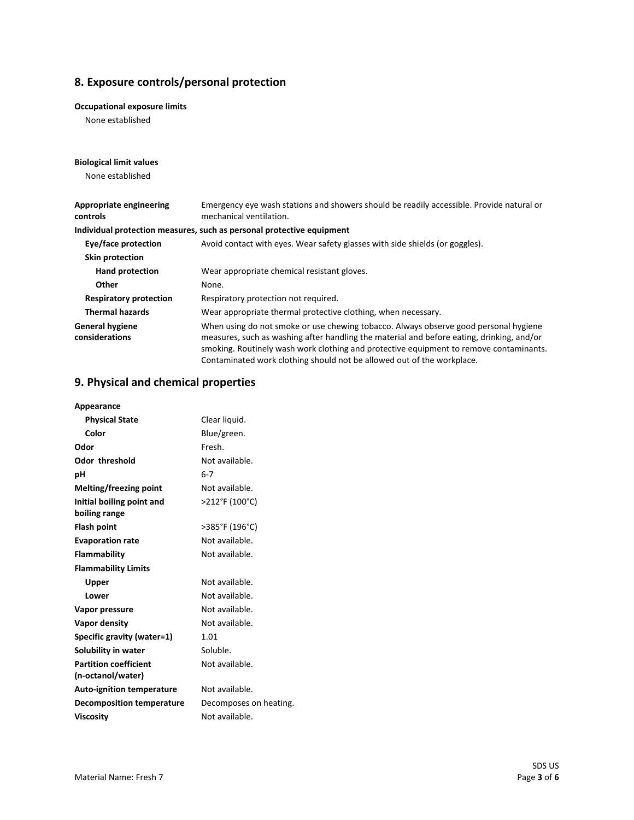## **8. Exposure controls/personal protection**

#### **Occupational exposure limits**

None established

| <b>Biological limit values</b>           |                                                                                                                                                                                                                                                                                                                                                       |
|------------------------------------------|-------------------------------------------------------------------------------------------------------------------------------------------------------------------------------------------------------------------------------------------------------------------------------------------------------------------------------------------------------|
| None established                         |                                                                                                                                                                                                                                                                                                                                                       |
|                                          |                                                                                                                                                                                                                                                                                                                                                       |
| Appropriate engineering<br>controls      | Emergency eye wash stations and showers should be readily accessible. Provide natural or<br>mechanical ventilation.                                                                                                                                                                                                                                   |
|                                          | Individual protection measures, such as personal protective equipment                                                                                                                                                                                                                                                                                 |
| Eye/face protection                      | Avoid contact with eyes. Wear safety glasses with side shields (or goggles).                                                                                                                                                                                                                                                                          |
| Skin protection                          |                                                                                                                                                                                                                                                                                                                                                       |
| <b>Hand protection</b>                   | Wear appropriate chemical resistant gloves.                                                                                                                                                                                                                                                                                                           |
| Other                                    | None.                                                                                                                                                                                                                                                                                                                                                 |
| <b>Respiratory protection</b>            | Respiratory protection not required.                                                                                                                                                                                                                                                                                                                  |
| <b>Thermal hazards</b>                   | Wear appropriate thermal protective clothing, when necessary.                                                                                                                                                                                                                                                                                         |
| <b>General hygiene</b><br>considerations | When using do not smoke or use chewing tobacco. Always observe good personal hygiene<br>measures, such as washing after handling the material and before eating, drinking, and/or<br>smoking. Routinely wash work clothing and protective equipment to remove contaminants.<br>Contaminated work clothing should not be allowed out of the workplace. |

### **9. Physical and chemical properties**

| Appearance                       |                        |
|----------------------------------|------------------------|
| <b>Physical State</b>            | Clear liquid.          |
| Color                            | Blue/green.            |
| Odor                             | Fresh.                 |
| <b>Odor threshold</b>            | Not available.         |
| рH                               | $6 - 7$                |
| Melting/freezing point           | Not available.         |
| Initial boiling point and        | >212°F (100°C)         |
| boiling range                    |                        |
| <b>Flash point</b>               | >385°F (196°C)         |
| <b>Evaporation rate</b>          | Not available.         |
| <b>Flammability</b>              | Not available.         |
| <b>Flammability Limits</b>       |                        |
| Upper                            | Not available.         |
| Lower                            | Not available.         |
| Vapor pressure                   | Not available.         |
| Vapor density                    | Not available.         |
| Specific gravity (water=1)       | 1.01                   |
| Solubility in water              | Soluble.               |
| <b>Partition coefficient</b>     | Not available.         |
| (n-octanol/water)                |                        |
| <b>Auto-ignition temperature</b> | Not available.         |
| <b>Decomposition temperature</b> | Decomposes on heating. |
| <b>Viscosity</b>                 | Not available.         |
|                                  |                        |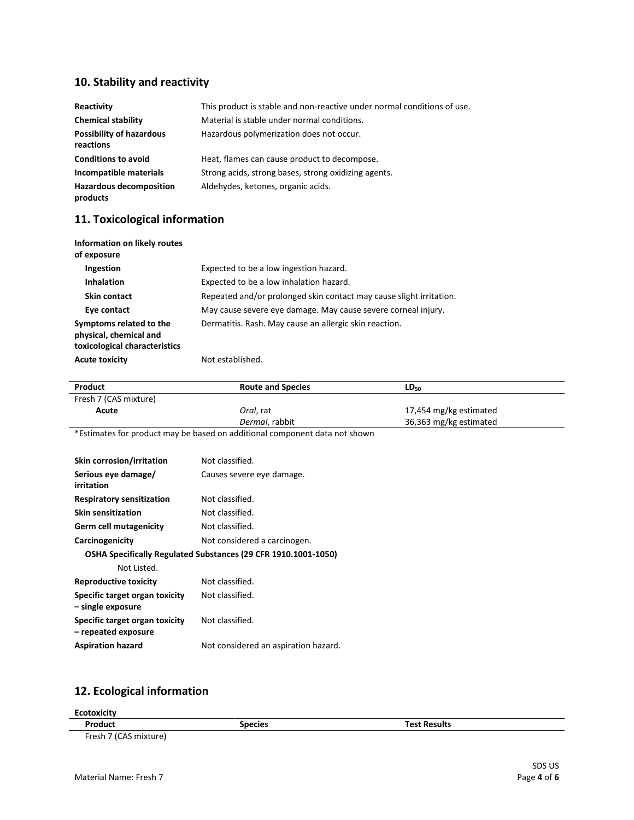## **10. Stability and reactivity**

| Reactivity                                   | This product is stable and non-reactive under normal conditions of use. |
|----------------------------------------------|-------------------------------------------------------------------------|
| <b>Chemical stability</b>                    | Material is stable under normal conditions.                             |
| <b>Possibility of hazardous</b><br>reactions | Hazardous polymerization does not occur.                                |
| <b>Conditions to avoid</b>                   | Heat, flames can cause product to decompose.                            |
| Incompatible materials                       | Strong acids, strong bases, strong oxidizing agents.                    |
| <b>Hazardous decomposition</b><br>products   | Aldehydes, ketones, organic acids.                                      |

# **11. Toxicological information**

| Information on likely routes<br>of exposure                                        |                                                                     |
|------------------------------------------------------------------------------------|---------------------------------------------------------------------|
| Ingestion                                                                          | Expected to be a low ingestion hazard.                              |
| <b>Inhalation</b>                                                                  | Expected to be a low inhalation hazard.                             |
| Skin contact                                                                       | Repeated and/or prolonged skin contact may cause slight irritation. |
| Eye contact                                                                        | May cause severe eye damage. May cause severe corneal injury.       |
| Symptoms related to the<br>physical, chemical and<br>toxicological characteristics | Dermatitis. Rash. May cause an allergic skin reaction.              |
| <b>Acute toxicity</b>                                                              | Not established.                                                    |

| Product                                               | <b>Route and Species</b>                                                   | $LD_{50}$              |
|-------------------------------------------------------|----------------------------------------------------------------------------|------------------------|
| Fresh 7 (CAS mixture)                                 |                                                                            |                        |
| Acute                                                 | Oral, rat                                                                  | 17,454 mg/kg estimated |
|                                                       | Dermal, rabbit                                                             | 36,363 mg/kg estimated |
|                                                       | *Estimates for product may be based on additional component data not shown |                        |
|                                                       |                                                                            |                        |
| Skin corrosion/irritation                             | Not classified.                                                            |                        |
| Serious eye damage/<br><b>irritation</b>              | Causes severe eye damage.                                                  |                        |
| <b>Respiratory sensitization</b>                      | Not classified.                                                            |                        |
| <b>Skin sensitization</b>                             | Not classified.                                                            |                        |
| Germ cell mutagenicity                                | Not classified.                                                            |                        |
| Carcinogenicity                                       | Not considered a carcinogen.                                               |                        |
|                                                       | OSHA Specifically Regulated Substances (29 CFR 1910.1001-1050)             |                        |
| Not Listed.                                           |                                                                            |                        |
| <b>Reproductive toxicity</b>                          | Not classified.                                                            |                        |
| Specific target organ toxicity<br>- single exposure   | Not classified.                                                            |                        |
| Specific target organ toxicity<br>- repeated exposure | Not classified.                                                            |                        |
| <b>Aspiration hazard</b>                              | Not considered an aspiration hazard.                                       |                        |
|                                                       |                                                                            |                        |

## **12. Ecological information**

| <b>Ecotoxicity</b>    |                |                     |  |
|-----------------------|----------------|---------------------|--|
| Product               | <b>Species</b> | <b>Test Results</b> |  |
| Fresh 7 (CAS mixture) |                |                     |  |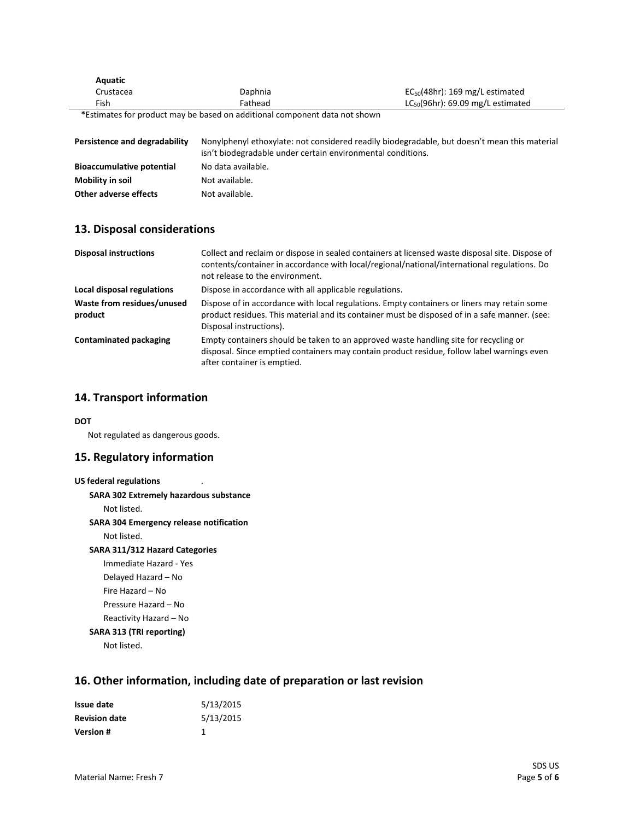| Aquatic                       |                                                                            |                                                                                              |
|-------------------------------|----------------------------------------------------------------------------|----------------------------------------------------------------------------------------------|
| Crustacea                     | Daphnia                                                                    | $EC_{50}(48hr)$ : 169 mg/L estimated                                                         |
| Fish                          | Fathead                                                                    | $LC_{50}(96hr)$ : 69.09 mg/L estimated                                                       |
|                               | *Estimates for product may be based on additional component data not shown |                                                                                              |
| Persistence and degradability | isn't biodegradable under certain environmental conditions.                | Nonylphenyl ethoxylate: not considered readily biodegradable, but doesn't mean this material |

| <b>Bioaccumulative potential</b> | No data available. |
|----------------------------------|--------------------|
| Mobility in soil                 | Not available.     |
| Other adverse effects            | Not available.     |

#### **13. Disposal considerations**

| <b>Disposal instructions</b>          | Collect and reclaim or dispose in sealed containers at licensed waste disposal site. Dispose of<br>contents/container in accordance with local/regional/national/international regulations. Do<br>not release to the environment. |
|---------------------------------------|-----------------------------------------------------------------------------------------------------------------------------------------------------------------------------------------------------------------------------------|
| Local disposal regulations            | Dispose in accordance with all applicable regulations.                                                                                                                                                                            |
| Waste from residues/unused<br>product | Dispose of in accordance with local regulations. Empty containers or liners may retain some<br>product residues. This material and its container must be disposed of in a safe manner. (see:<br>Disposal instructions).           |
| <b>Contaminated packaging</b>         | Empty containers should be taken to an approved waste handling site for recycling or<br>disposal. Since emptied containers may contain product residue, follow label warnings even<br>after container is emptied.                 |

#### **14. Transport information**

#### **DOT**

Not regulated as dangerous goods.

#### **15. Regulatory information**

```
US federal regulations .
SARA 302 Extremely hazardous substance
    Not listed.
SARA 304 Emergency release notification
    Not listed.
SARA 311/312 Hazard Categories
    Immediate Hazard - Yes
    Delayed Hazard – No
    Fire Hazard – No
    Pressure Hazard – No
    Reactivity Hazard – No 
SARA 313 (TRI reporting)
    Not listed.
```
#### **16. Other information, including date of preparation or last revision**

| Issue date           | 5/13/2015 |
|----------------------|-----------|
| <b>Revision date</b> | 5/13/2015 |
| <b>Version#</b>      |           |